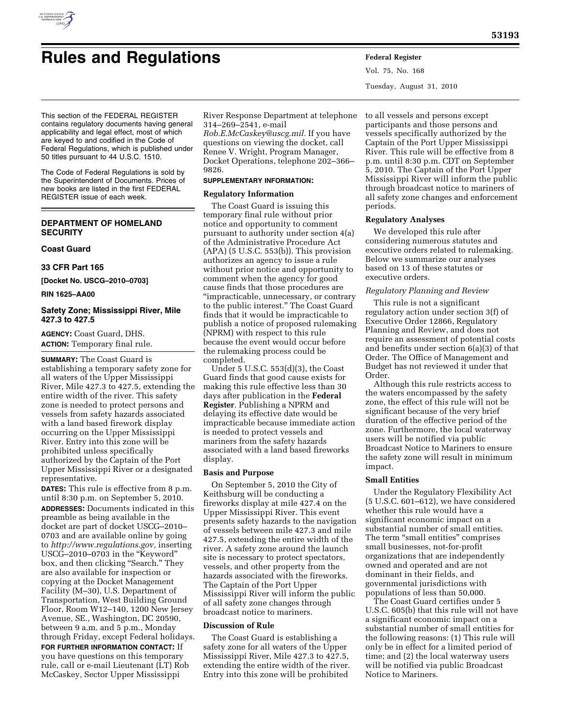

Vol. 75, No. 168 Tuesday, August 31, 2010

This section of the FEDERAL REGISTER contains regulatory documents having general applicability and legal effect, most of which are keyed to and codified in the Code of Federal Regulations, which is published under 50 titles pursuant to 44 U.S.C. 1510.

The Code of Federal Regulations is sold by the Superintendent of Documents. Prices of new books are listed in the first FEDERAL REGISTER issue of each week.

## **DEPARTMENT OF HOMELAND SECURITY**

## **Coast Guard**

### **33 CFR Part 165**

**[Docket No. USCG–2010–0703]** 

### **RIN 1625–AA00**

## **Safety Zone; Mississippi River, Mile 427.3 to 427.5**

**AGENCY:** Coast Guard, DHS. **ACTION:** Temporary final rule.

**SUMMARY:** The Coast Guard is establishing a temporary safety zone for all waters of the Upper Mississippi River, Mile 427.3 to 427.5, extending the entire width of the river. This safety zone is needed to protect persons and vessels from safety hazards associated with a land based firework display occurring on the Upper Mississippi River. Entry into this zone will be prohibited unless specifically authorized by the Captain of the Port Upper Mississippi River or a designated representative.

**DATES:** This rule is effective from 8 p.m. until 8:30 p.m. on September 5, 2010. **ADDRESSES:** Documents indicated in this preamble as being available in the docket are part of docket USCG–2010– 0703 and are available online by going to *[http://www.regulations.gov,](http://www.regulations.gov)* inserting USCG–2010–0703 in the ''Keyword'' box, and then clicking "Search." They are also available for inspection or copying at the Docket Management Facility (M–30), U.S. Department of Transportation, West Building Ground Floor, Room W12–140, 1200 New Jersey Avenue, SE., Washington, DC 20590, between 9 a.m. and 5 p.m., Monday through Friday, except Federal holidays.

**FOR FURTHER INFORMATION CONTACT:** If you have questions on this temporary rule, call or e-mail Lieutenant (LT) Rob McCaskey, Sector Upper Mississippi

River Response Department at telephone 314–269–2541, e-mail

*[Rob.E.McCaskey@uscg.mil.](mailto:Rob.E.McCaskey@uscg.mil)* If you have questions on viewing the docket, call Renee V. Wright, Program Manager, Docket Operations, telephone 202–366– 9826.

# **SUPPLEMENTARY INFORMATION:**

### **Regulatory Information**

The Coast Guard is issuing this temporary final rule without prior notice and opportunity to comment pursuant to authority under section 4(a) of the Administrative Procedure Act  $(APA)$  (5 U.S.C. 553(b)). This provision authorizes an agency to issue a rule without prior notice and opportunity to comment when the agency for good cause finds that those procedures are ''impracticable, unnecessary, or contrary to the public interest.'' The Coast Guard finds that it would be impracticable to publish a notice of proposed rulemaking (NPRM) with respect to this rule because the event would occur before the rulemaking process could be completed.

Under 5 U.S.C. 553(d)(3), the Coast Guard finds that good cause exists for making this rule effective less than 30 days after publication in the **Federal Register**. Publishing a NPRM and delaying its effective date would be impracticable because immediate action is needed to protect vessels and mariners from the safety hazards associated with a land based fireworks display.

### **Basis and Purpose**

On September 5, 2010 the City of Keithsburg will be conducting a fireworks display at mile 427.4 on the Upper Mississippi River. This event presents safety hazards to the navigation of vessels between mile 427.3 and mile 427.5, extending the entire width of the river. A safety zone around the launch site is necessary to protect spectators, vessels, and other property from the hazards associated with the fireworks. The Captain of the Port Upper Mississippi River will inform the public of all safety zone changes through broadcast notice to mariners.

### **Discussion of Rule**

The Coast Guard is establishing a safety zone for all waters of the Upper Mississippi River, Mile 427.3 to 427.5, extending the entire width of the river. Entry into this zone will be prohibited

to all vessels and persons except participants and those persons and vessels specifically authorized by the Captain of the Port Upper Mississippi River. This rule will be effective from 8 p.m. until 8:30 p.m. CDT on September 5, 2010. The Captain of the Port Upper Mississippi River will inform the public through broadcast notice to mariners of all safety zone changes and enforcement periods.

### **Regulatory Analyses**

We developed this rule after considering numerous statutes and executive orders related to rulemaking. Below we summarize our analyses based on 13 of these statutes or executive orders.

## *Regulatory Planning and Review*

This rule is not a significant regulatory action under section 3(f) of Executive Order 12866, Regulatory Planning and Review, and does not require an assessment of potential costs and benefits under section 6(a)(3) of that Order. The Office of Management and Budget has not reviewed it under that Order.

Although this rule restricts access to the waters encompassed by the safety zone, the effect of this rule will not be significant because of the very brief duration of the effective period of the zone. Furthermore, the local waterway users will be notified via public Broadcast Notice to Mariners to ensure the safety zone will result in minimum impact.

## **Small Entities**

Under the Regulatory Flexibility Act (5 U.S.C. 601–612), we have considered whether this rule would have a significant economic impact on a substantial number of small entities. The term "small entities" comprises small businesses, not-for-profit organizations that are independently owned and operated and are not dominant in their fields, and governmental jurisdictions with populations of less than 50,000.

The Coast Guard certifies under 5 U.S.C. 605(b) that this rule will not have a significant economic impact on a substantial number of small entities for the following reasons: (1) This rule will only be in effect for a limited period of time; and (2) the local waterway users will be notified via public Broadcast Notice to Mariners.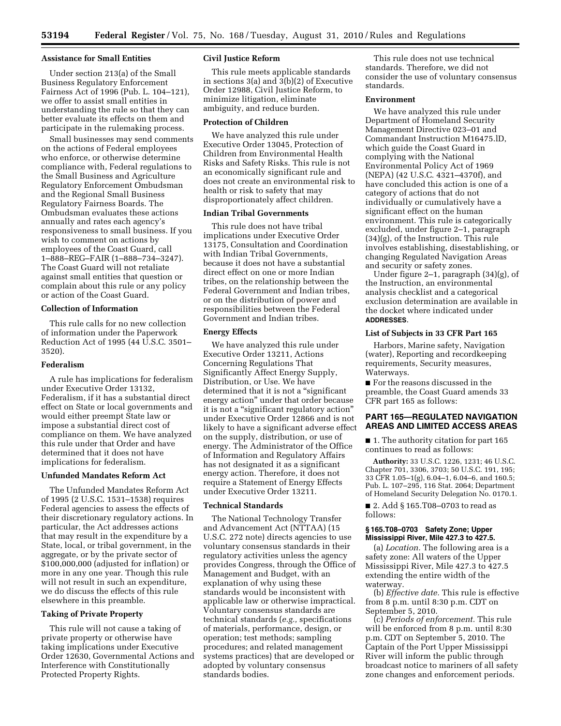**53194 Federal Register** / Vol. 75, No. 168 / Tuesday, August 31, 2010 / Rules and Regulations

#### **Assistance for Small Entities**

Under section 213(a) of the Small Business Regulatory Enforcement Fairness Act of 1996 (Pub. L. 104–121), we offer to assist small entities in understanding the rule so that they can better evaluate its effects on them and participate in the rulemaking process.

Small businesses may send comments on the actions of Federal employees who enforce, or otherwise determine compliance with, Federal regulations to the Small Business and Agriculture Regulatory Enforcement Ombudsman and the Regional Small Business Regulatory Fairness Boards. The Ombudsman evaluates these actions annually and rates each agency's responsiveness to small business. If you wish to comment on actions by employees of the Coast Guard, call 1–888–REG–FAIR (1–888–734–3247). The Coast Guard will not retaliate against small entities that question or complain about this rule or any policy or action of the Coast Guard.

### **Collection of Information**

This rule calls for no new collection of information under the Paperwork Reduction Act of 1995 (44 U.S.C. 3501– 3520).

### **Federalism**

A rule has implications for federalism under Executive Order 13132, Federalism, if it has a substantial direct effect on State or local governments and would either preempt State law or impose a substantial direct cost of compliance on them. We have analyzed this rule under that Order and have determined that it does not have implications for federalism.

#### **Unfunded Mandates Reform Act**

The Unfunded Mandates Reform Act of 1995 (2 U.S.C. 1531–1538) requires Federal agencies to assess the effects of their discretionary regulatory actions. In particular, the Act addresses actions that may result in the expenditure by a State, local, or tribal government, in the aggregate, or by the private sector of \$100,000,000 (adjusted for inflation) or more in any one year. Though this rule will not result in such an expenditure, we do discuss the effects of this rule elsewhere in this preamble.

### **Taking of Private Property**

This rule will not cause a taking of private property or otherwise have taking implications under Executive Order 12630, Governmental Actions and Interference with Constitutionally Protected Property Rights.

#### **Civil Justice Reform**

This rule meets applicable standards in sections 3(a) and 3(b)(2) of Executive Order 12988, Civil Justice Reform, to minimize litigation, eliminate ambiguity, and reduce burden.

#### **Protection of Children**

We have analyzed this rule under Executive Order 13045, Protection of Children from Environmental Health Risks and Safety Risks. This rule is not an economically significant rule and does not create an environmental risk to health or risk to safety that may disproportionately affect children.

### **Indian Tribal Governments**

This rule does not have tribal implications under Executive Order 13175, Consultation and Coordination with Indian Tribal Governments, because it does not have a substantial direct effect on one or more Indian tribes, on the relationship between the Federal Government and Indian tribes, or on the distribution of power and responsibilities between the Federal Government and Indian tribes.

#### **Energy Effects**

We have analyzed this rule under Executive Order 13211, Actions Concerning Regulations That Significantly Affect Energy Supply, Distribution, or Use. We have determined that it is not a "significant" energy action'' under that order because it is not a "significant regulatory action" under Executive Order 12866 and is not likely to have a significant adverse effect on the supply, distribution, or use of energy. The Administrator of the Office of Information and Regulatory Affairs has not designated it as a significant energy action. Therefore, it does not require a Statement of Energy Effects under Executive Order 13211.

### **Technical Standards**

The National Technology Transfer and Advancement Act (NTTAA) (15 U.S.C. 272 note) directs agencies to use voluntary consensus standards in their regulatory activities unless the agency provides Congress, through the Office of Management and Budget, with an explanation of why using these standards would be inconsistent with applicable law or otherwise impractical. Voluntary consensus standards are technical standards (*e.g.,* specifications of materials, performance, design, or operation; test methods; sampling procedures; and related management systems practices) that are developed or adopted by voluntary consensus standards bodies.

This rule does not use technical standards. Therefore, we did not consider the use of voluntary consensus standards.

## **Environment**

We have analyzed this rule under Department of Homeland Security Management Directive 023–01 and Commandant Instruction M16475.lD, which guide the Coast Guard in complying with the National Environmental Policy Act of 1969 (NEPA) (42 U.S.C. 4321–4370f), and have concluded this action is one of a category of actions that do not individually or cumulatively have a significant effect on the human environment. This rule is categorically excluded, under figure 2–1, paragraph (34)(g), of the Instruction. This rule involves establishing, disestablishing, or changing Regulated Navigation Areas and security or safety zones.

Under figure 2–1, paragraph (34)(g), of the Instruction, an environmental analysis checklist and a categorical exclusion determination are available in the docket where indicated under **ADDRESSES**.

### **List of Subjects in 33 CFR Part 165**

Harbors, Marine safety, Navigation (water), Reporting and recordkeeping requirements, Security measures, Waterways.

■ For the reasons discussed in the preamble, the Coast Guard amends 33 CFR part 165 as follows:

## **PART 165—REGULATED NAVIGATION AREAS AND LIMITED ACCESS AREAS**

■ 1. The authority citation for part 165 continues to read as follows:

**Authority:** 33 U.S.C. 1226, 1231; 46 U.S.C. Chapter 701, 3306, 3703; 50 U.S.C. 191, 195; 33 CFR 1.05–1(g), 6.04–1, 6.04–6, and 160.5; Pub. L. 107–295, 116 Stat. 2064; Department of Homeland Security Delegation No. 0170.1.

■ 2. Add § 165.T08-0703 to read as follows:

### **§ 165.T08–0703 Safety Zone; Upper Mississippi River, Mile 427.3 to 427.5.**

(a) *Location.* The following area is a safety zone: All waters of the Upper Mississippi River, Mile 427.3 to 427.5 extending the entire width of the waterway.

(b) *Effective date.* This rule is effective from 8 p.m. until 8:30 p.m. CDT on September 5, 2010.

(c) *Periods of enforcement.* This rule will be enforced from 8 p.m. until 8:30 p.m. CDT on September 5, 2010. The Captain of the Port Upper Mississippi River will inform the public through broadcast notice to mariners of all safety zone changes and enforcement periods.